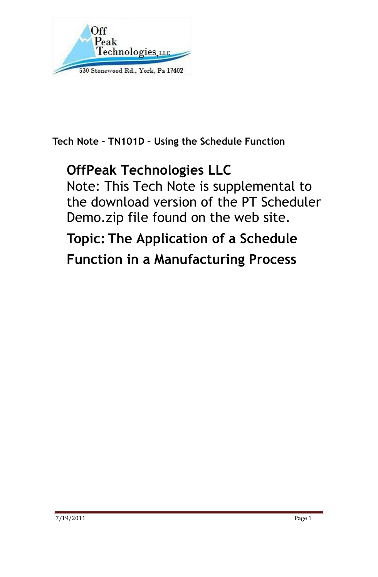

Tech Note – TN101D – Using the Schedule Function

## OffPeak Technologies LLC

Note: This Tech Note is supplemental to the download version of the PT Scheduler Demo.zip file found on the web site.

Topic: The Application of a Schedule Function in a Manufacturing Process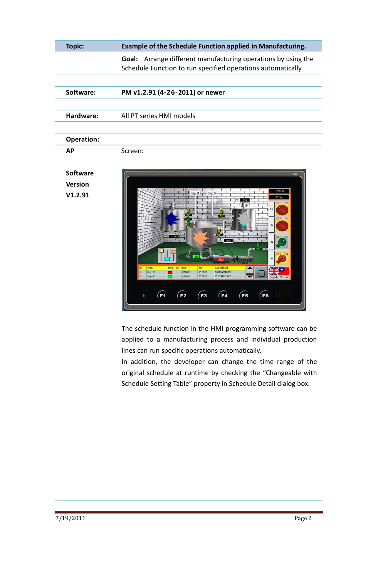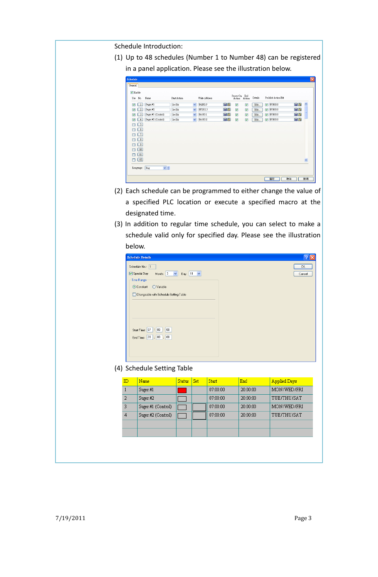Schedule Introduction:

(1) Up to 48 schedules (Number 1 to Number 48) can be registered in a panel application. Please see the illustration below.

| Schedule                          |                          |                    |                         |               |    |                        |                         |         |                     |    | $\times$    |
|-----------------------------------|--------------------------|--------------------|-------------------------|---------------|----|------------------------|-------------------------|---------|---------------------|----|-------------|
| General                           |                          |                    |                         |               |    |                        |                         |         |                     |    |             |
| $\triangledown$ Enable            |                          |                    |                         |               |    |                        |                         |         |                     |    |             |
| Use                               | No.                      | Name               | Start Action            | Write Address |    | Power-On End<br>Action | Action                  | Details | Prohibit Action Bit |    |             |
| 罓                                 | $\overline{1}$           | Suger #1           | $\checkmark$<br>Set Bit | \$u200.3      | 日田 | ☑                      | ☑                       | Edit    | $\nabla$ \$U100.0   | 日田 | $\triangle$ |
| 罓                                 | $\overline{2}$           | Suger#2            | Y<br>Set Bit            | \$U202.3      | 日田 | ☑                      | $\overline{\mathbf{v}}$ | Edit    | $\nabla$ \$U100.0   | ea |             |
| $\overline{\mathsf{v}}$           | $\overline{\mathbf{3}}$  | Suger #1 (Control) | $\checkmark$<br>Set Bit | \$u100.1      | 同園 | ☑                      | ☑                       | Edit    | $\nabla$ \$U100.0   | 日田 |             |
| 罓                                 | $\overline{4}$           | Suger #2 (Control) | $\checkmark$<br>Set Bit | \$u100.2      | 日田 | ☑                      | ☑                       | Edit    | $\nabla$ \$U100.0   | 日日 |             |
|                                   | $\overline{5}$           |                    |                         |               |    |                        |                         |         |                     |    |             |
|                                   | 6)                       |                    |                         |               |    |                        |                         |         |                     |    |             |
|                                   | $\overline{7}$           |                    |                         |               |    |                        |                         |         |                     |    |             |
|                                   | $\overline{\phantom{a}}$ |                    |                         |               |    |                        |                         |         |                     |    |             |
|                                   | ᠑                        |                    |                         |               |    |                        |                         |         |                     |    |             |
|                                   | 10                       |                    |                         |               |    |                        |                         |         |                     |    |             |
|                                   | $\boxed{11}$             |                    |                         |               |    |                        |                         |         |                     |    |             |
|                                   | $\boxed{12}$             |                    |                         |               |    |                        |                         |         |                     |    | ×           |
| $\frac{1}{2}$<br>Eng<br>Language: |                          |                    |                         |               |    |                        |                         |         |                     |    |             |
|                                   |                          |                    |                         |               |    |                        |                         |         | 確定<br>取消            |    | 説明          |

- (2) Each schedule can be programmed to either change the value of a specified PLC location or execute a specified macro at the designated time.
- (3) In addition to regular time schedule, you can select to make a schedule valid only for specified day. Please see the illustration below.

| <b>Schedule Details</b>                              |        |
|------------------------------------------------------|--------|
| Schedule No.: 1                                      | 0K     |
| Month: $3 \times$<br>Special Day<br>Day: $11 \times$ | Cancel |
| Time Range                                           |        |
| $\bigcirc$ Variable<br>⊙ Constant                    |        |
| Changeable with Schedule Setting Table               |        |
|                                                      |        |
|                                                      |        |
|                                                      |        |
|                                                      |        |
| Start Time: 07 : 00 : 00                             |        |
| End Time: 20 : 00 : 00                               |        |
|                                                      |        |
|                                                      |        |
|                                                      |        |

(4) Schedule Setting Table

| ID             | Name               | <b>Status</b> | Set | <b>Start</b> | End      | <b>Applied Days</b> |
|----------------|--------------------|---------------|-----|--------------|----------|---------------------|
|                | Suger#1            |               |     | 07:00:00     | 20:00:00 | MON/WED/FRI         |
| $\overline{2}$ | Suger#2            |               |     | 07:00:00     | 20:00:00 | TUE/THU/SAT         |
| 3              | Suger #1 (Control) |               |     | 07:00:00     | 20:00:00 | MON/WED/FRI         |
| $\overline{4}$ | Suger #2 (Control) |               |     | 07:00:00     | 20:00:00 | TUE/THU/SAT         |
|                |                    |               |     |              |          |                     |
|                |                    |               |     |              |          |                     |
|                |                    |               |     |              |          |                     |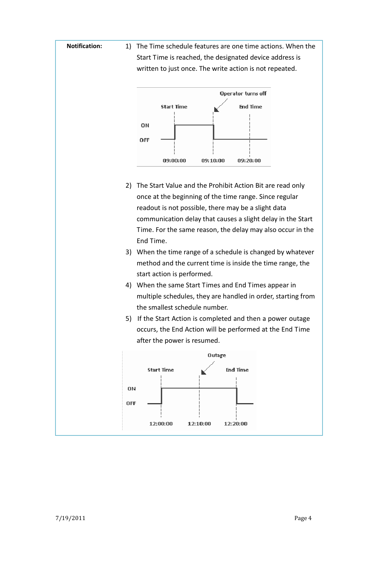Notification: 1) The Time schedule features are one time actions. When the Start Time is reached, the designated device address is written to just once. The write action is not repeated.



- 2) The Start Value and the Prohibit Action Bit are read only once at the beginning of the time range. Since regular readout is not possible, there may be a slight data communication delay that causes a slight delay in the Start Time. For the same reason, the delay may also occur in the End Time.
- 3) When the time range of a schedule is changed by whatever method and the current time is inside the time range, the start action is performed.
- 4) When the same Start Times and End Times appear in multiple schedules, they are handled in order, starting from the smallest schedule number.
- 5) If the Start Action is completed and then a power outage occurs, the End Action will be performed at the End Time after the power is resumed.